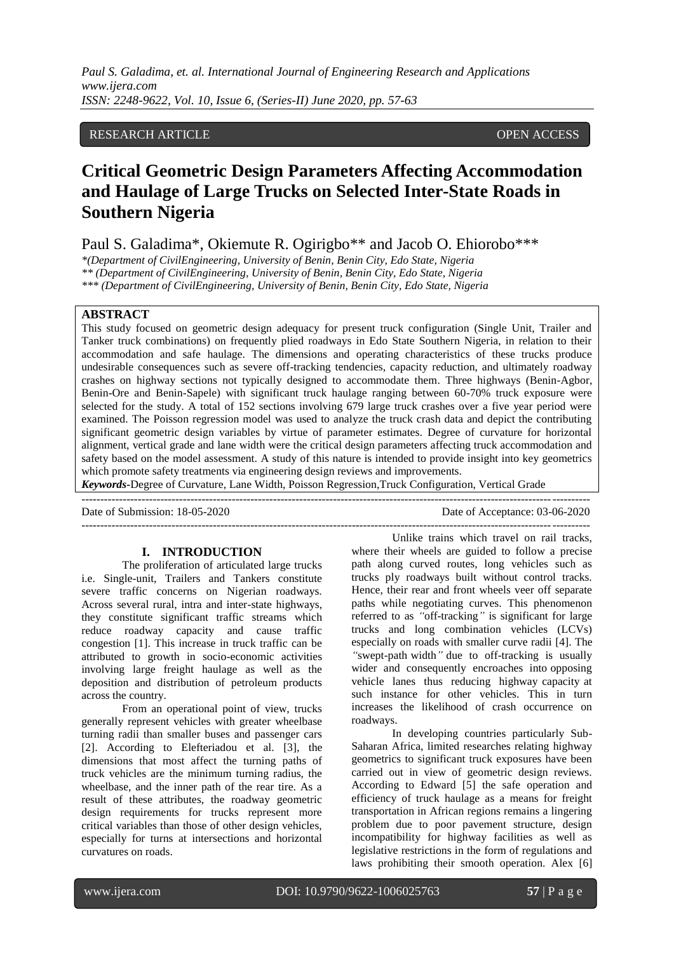# RESEARCH ARTICLE OPEN ACCESS OPEN ACCESS

# **Critical Geometric Design Parameters Affecting Accommodation and Haulage of Large Trucks on Selected Inter-State Roads in Southern Nigeria**

Paul S. Galadima\*, Okiemute R. Ogirigbo\*\* and Jacob O. Ehiorobo\*\*\*

*\*(Department of CivilEngineering, University of Benin, Benin City, Edo State, Nigeria \*\* (Department of CivilEngineering, University of Benin, Benin City, Edo State, Nigeria*

*\*\*\* (Department of CivilEngineering, University of Benin, Benin City, Edo State, Nigeria*

# **ABSTRACT**

This study focused on geometric design adequacy for present truck configuration (Single Unit, Trailer and Tanker truck combinations) on frequently plied roadways in Edo State Southern Nigeria, in relation to their accommodation and safe haulage. The dimensions and operating characteristics of these trucks produce undesirable consequences such as severe off-tracking tendencies, capacity reduction, and ultimately roadway crashes on highway sections not typically designed to accommodate them. Three highways (Benin-Agbor, Benin-Ore and Benin-Sapele) with significant truck haulage ranging between 60-70% truck exposure were selected for the study. A total of 152 sections involving 679 large truck crashes over a five year period were examined. The Poisson regression model was used to analyze the truck crash data and depict the contributing significant geometric design variables by virtue of parameter estimates. Degree of curvature for horizontal alignment, vertical grade and lane width were the critical design parameters affecting truck accommodation and safety based on the model assessment. A study of this nature is intended to provide insight into key geometrics which promote safety treatments via engineering design reviews and improvements.

*Keywords***-**Degree of Curvature, Lane Width, Poisson Regression,Truck Configuration, Vertical Grade

 $-1.1$ 

---------------------------------------------------------------------------------------------------------------------------------------

Date of Submission: 18-05-2020 Date of Acceptance: 03-06-2020

# **I. INTRODUCTION**

The proliferation of articulated large trucks i.e. Single-unit, Trailers and Tankers constitute severe traffic concerns on Nigerian roadways. Across several rural, intra and inter-state highways, they constitute significant traffic streams which reduce roadway capacity and cause traffic congestion [1]. This increase in truck traffic can be attributed to growth in socio-economic activities involving large freight haulage as well as the deposition and distribution of petroleum products across the country.

From an operational point of view, trucks generally represent vehicles with greater wheelbase turning radii than smaller buses and passenger cars [2]. According to Elefteriadou et al. [3], the dimensions that most affect the turning paths of truck vehicles are the minimum turning radius, the wheelbase, and the inner path of the rear tire. As a result of these attributes, the roadway geometric design requirements for trucks represent more critical variables than those of other design vehicles, especially for turns at intersections and horizontal curvatures on roads.

Unlike trains which travel on rail tracks, where their wheels are guided to follow a precise path along curved routes, long vehicles such as trucks ply roadways built without control tracks. Hence, their rear and front wheels veer off separate paths while negotiating curves. This phenomenon referred to as *"*off-tracking*"* is significant for large trucks and long combination vehicles (LCVs) especially on roads with smaller curve radii [4]. The *"*swept-path width*"* due to off-tracking is usually wider and consequently encroaches into opposing vehicle lanes thus reducing highway capacity at such instance for other vehicles. This in turn increases the likelihood of crash occurrence on roadways.

In developing countries particularly Sub-Saharan Africa, limited researches relating highway geometrics to significant truck exposures have been carried out in view of geometric design reviews. According to Edward [5] the safe operation and efficiency of truck haulage as a means for freight transportation in African regions remains a lingering problem due to poor pavement structure, design incompatibility for highway facilities as well as legislative restrictions in the form of regulations and laws prohibiting their smooth operation. Alex [6]

www.ijera.com DOI: 10.9790/9622-1006025763 **57** | P a g e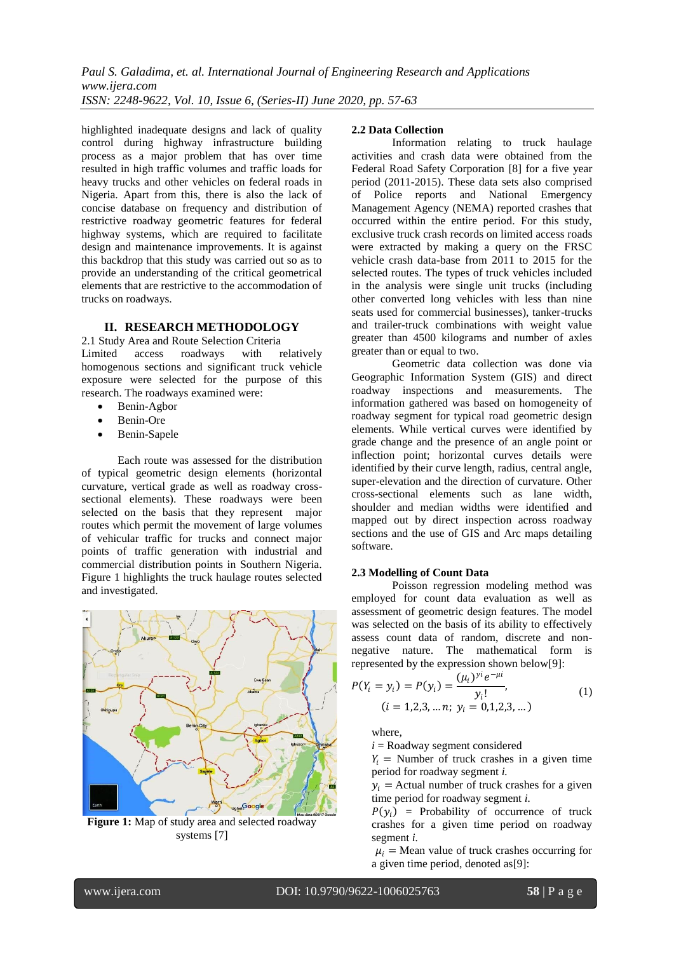highlighted inadequate designs and lack of quality control during highway infrastructure building process as a major problem that has over time resulted in high traffic volumes and traffic loads for heavy trucks and other vehicles on federal roads in Nigeria. Apart from this, there is also the lack of concise database on frequency and distribution of restrictive roadway geometric features for federal highway systems, which are required to facilitate design and maintenance improvements. It is against this backdrop that this study was carried out so as to provide an understanding of the critical geometrical elements that are restrictive to the accommodation of trucks on roadways.

# **II. RESEARCH METHODOLOGY**

2.1 Study Area and Route Selection Criteria<br>
Limited access roadways with relatively access roadways with homogenous sections and significant truck vehicle exposure were selected for the purpose of this research. The roadways examined were:

- Benin-Agbor
- Benin-Ore
- Benin-Sapele

Each route was assessed for the distribution of typical geometric design elements (horizontal curvature, vertical grade as well as roadway crosssectional elements). These roadways were been selected on the basis that they represent major routes which permit the movement of large volumes of vehicular traffic for trucks and connect major points of traffic generation with industrial and commercial distribution points in Southern Nigeria. Figure 1 highlights the truck haulage routes selected and investigated.



**Figure 1:** Map of study area and selected roadway systems [7]

#### **2.2 Data Collection**

Information relating to truck haulage activities and crash data were obtained from the Federal Road Safety Corporation [8] for a five year period (2011-2015). These data sets also comprised of Police reports and National Emergency Management Agency (NEMA) reported crashes that occurred within the entire period. For this study, exclusive truck crash records on limited access roads were extracted by making a query on the FRSC vehicle crash data-base from 2011 to 2015 for the selected routes. The types of truck vehicles included in the analysis were single unit trucks (including other converted long vehicles with less than nine seats used for commercial businesses), tanker-trucks and trailer-truck combinations with weight value greater than 4500 kilograms and number of axles greater than or equal to two.

Geometric data collection was done via Geographic Information System (GIS) and direct roadway inspections and measurements. The information gathered was based on homogeneity of roadway segment for typical road geometric design elements. While vertical curves were identified by grade change and the presence of an angle point or inflection point; horizontal curves details were identified by their curve length, radius, central angle, super-elevation and the direction of curvature. Other cross-sectional elements such as lane width, shoulder and median widths were identified and mapped out by direct inspection across roadway sections and the use of GIS and Arc maps detailing software.

#### **2.3 Modelling of Count Data**

Poisson regression modeling method was employed for count data evaluation as well as assessment of geometric design features. The model was selected on the basis of its ability to effectively assess count data of random, discrete and nonnegative nature. The mathematical form is represented by the expression shown below[9]:

$$
P(Y_i = y_i) = P(y_i) = \frac{(\mu_i)^{y_i} e^{-\mu i}}{y_i!},
$$
  
(i = 1,2,3, ...n; y\_i = 0,1,2,3, ...)\t(1)

where,

 $i =$ Roadway segment considered

 $Y_i$  = Number of truck crashes in a given time period for roadway segment *i.*

 $y_i$  = Actual number of truck crashes for a given time period for roadway segment *i.*

 $P(y_i)$  = Probability of occurrence of truck crashes for a given time period on roadway segment *i.*

 $\mu_i$  = Mean value of truck crashes occurring for a given time period, denoted as[9]: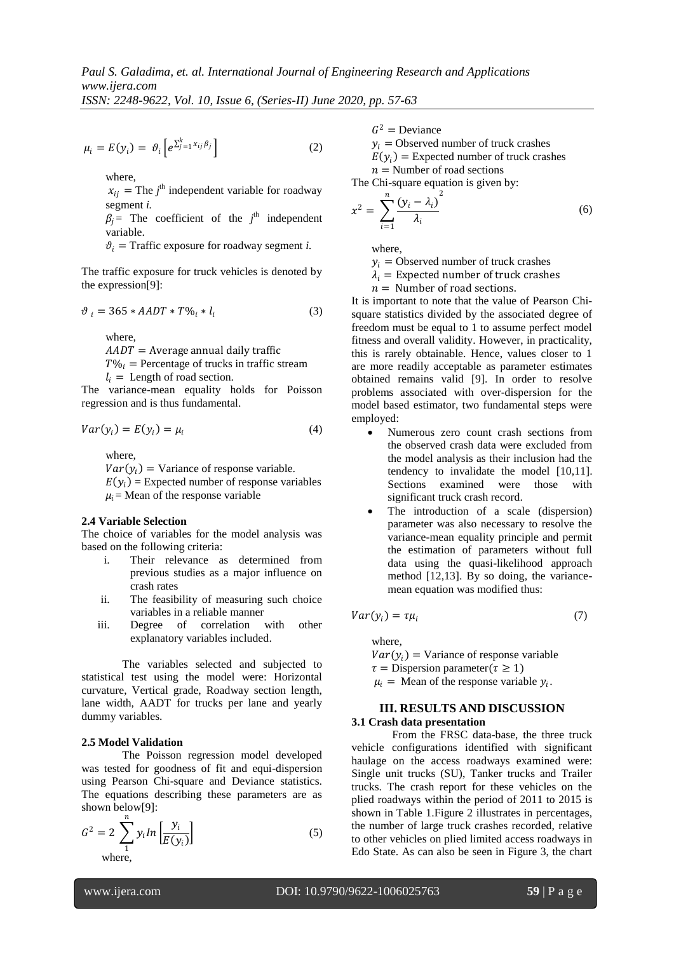*ISSN: 2248-9622, Vol. 10, Issue 6, (Series-II) June 2020, pp. 57-63*

$$
\mu_i = E(y_i) = \vartheta_i \left[ e^{\sum_{j=1}^k x_{ij} \beta_j} \right]
$$
 (2)

where,

 $x_{ij}$  = The  $j^{\text{th}}$  independent variable for roadway segment *i.*

 $\beta_j$  = The coefficient of the *j*<sup>th</sup> independent variable.

 $\vartheta_i$  = Traffic exposure for roadway segment *i*.

The traffic exposure for truck vehicles is denoted by the expression[9]:

$$
\vartheta_i = 365 * AADT * T\%_i * l_i \tag{3}
$$

where,

 $AADT =$  Average annual daily traffic

 $T\%_i$  = Percentage of trucks in traffic stream

 $l_i$  = Length of road section.

The variance-mean equality holds for Poisson regression and is thus fundamental.

$$
Var(y_i) = E(y_i) = \mu_i \tag{4}
$$

where,

 $Var(y_i)$  = Variance of response variable.  $E(y_i)$  = Expected number of response variables  $\mu_i$  = Mean of the response variable

# **2.4 Variable Selection**

The choice of variables for the model analysis was based on the following criteria:

- i. Their relevance as determined from previous studies as a major influence on crash rates
- ii. The feasibility of measuring such choice variables in a reliable manner
- iii. Degree of correlation with other explanatory variables included.

The variables selected and subjected to statistical test using the model were: Horizontal curvature, Vertical grade, Roadway section length, lane width, AADT for trucks per lane and yearly dummy variables.

#### **2.5 Model Validation**

The Poisson regression model developed was tested for goodness of fit and equi-dispersion using Pearson Chi-square and Deviance statistics. The equations describing these parameters are as shown below[9]:

$$
G^{2} = 2 \sum_{1}^{n} y_{i} ln \left[ \frac{y_{i}}{E(y_{i})} \right]
$$
 (5)  
where,

 $G^2$  = Deviance

 $y_i$  = Observed number of truck crashes

 $E(y_i)$  = Expected number of truck crashes

 $n =$  Number of road sections

The Chi-square equation is given by:

$$
x^2 = \sum_{i=1}^n \frac{(y_i - \lambda_i)^2}{\lambda_i} \tag{6}
$$

where,

 $y_i$  = Observed number of truck crashes

 $\lambda_i$  = Expected number of truck crashes

 $n =$  Number of road sections.

It is important to note that the value of Pearson Chisquare statistics divided by the associated degree of freedom must be equal to 1 to assume perfect model fitness and overall validity. However, in practicality, this is rarely obtainable. Hence, values closer to 1 are more readily acceptable as parameter estimates obtained remains valid [9]. In order to resolve problems associated with over-dispersion for the model based estimator, two fundamental steps were employed:

- Numerous zero count crash sections from the observed crash data were excluded from the model analysis as their inclusion had the tendency to invalidate the model [10,11]. Sections examined were those with significant truck crash record.
- The introduction of a scale (dispersion) parameter was also necessary to resolve the variance-mean equality principle and permit the estimation of parameters without full data using the quasi-likelihood approach method [12,13]. By so doing, the variancemean equation was modified thus:

$$
Var(y_i) = \tau \mu_i \tag{7}
$$

where,

 $Var(y_i)$  = Variance of response variable  $\tau$  = Dispersion parameter( $\tau \ge 1$ )  $\mu_i$  = Mean of the response variable  $y_i$ .

#### **III. RESULTS AND DISCUSSION 3.1 Crash data presentation**

From the FRSC data-base, the three truck vehicle configurations identified with significant haulage on the access roadways examined were: Single unit trucks (SU), Tanker trucks and Trailer trucks. The crash report for these vehicles on the plied roadways within the period of 2011 to 2015 is shown in Table 1.Figure 2 illustrates in percentages, the number of large truck crashes recorded, relative to other vehicles on plied limited access roadways in Edo State. As can also be seen in Figure 3, the chart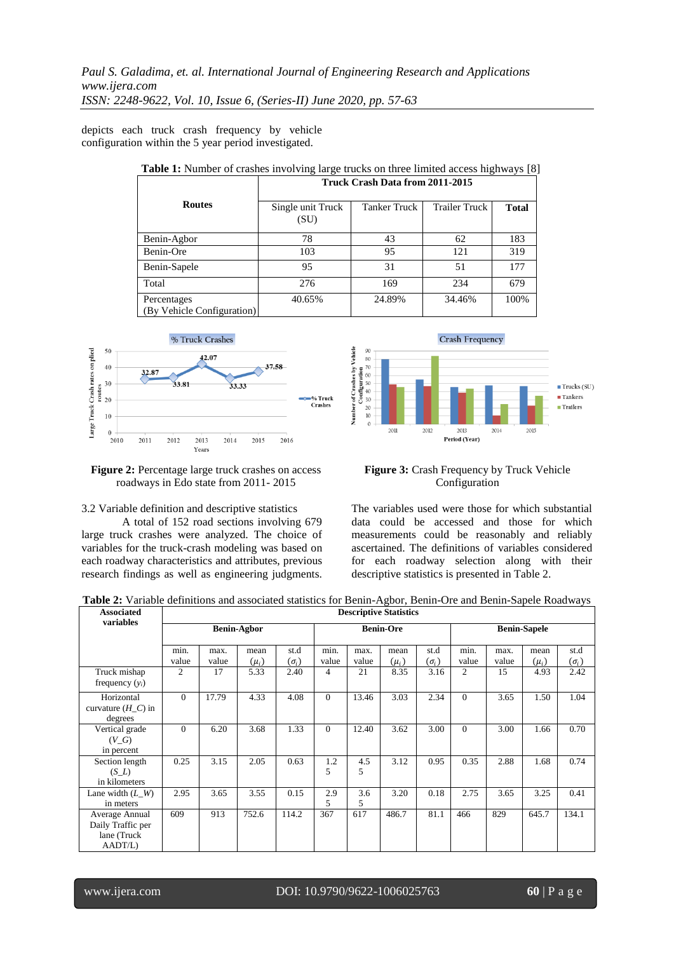depicts each truck crash frequency by vehicle configuration within the 5 year period investigated.

| <b>Table 1:</b> Number of crashes involving large trucks on three limited access highways [8] |                                 |                     |                      |              |  |  |  |  |  |
|-----------------------------------------------------------------------------------------------|---------------------------------|---------------------|----------------------|--------------|--|--|--|--|--|
|                                                                                               | Truck Crash Data from 2011-2015 |                     |                      |              |  |  |  |  |  |
| <b>Routes</b>                                                                                 | Single unit Truck<br>(SU)       | <b>Tanker Truck</b> | <b>Trailer Truck</b> | <b>Total</b> |  |  |  |  |  |
| Benin-Agbor                                                                                   | 78                              | 43                  | 62                   | 183          |  |  |  |  |  |
| Benin-Ore                                                                                     | 103                             | 95                  | 121                  | 319          |  |  |  |  |  |
| Benin-Sapele                                                                                  | 95                              | 31                  | 51                   | 177          |  |  |  |  |  |
| Total                                                                                         | 276                             | 169                 | 234                  | 679          |  |  |  |  |  |
| Percentages                                                                                   | 40.65%                          | 24.89%              | 34.46%               | 100%         |  |  |  |  |  |
| (By Vehicle Configuration)                                                                    |                                 |                     |                      |              |  |  |  |  |  |



**Figure 2:** Percentage large truck crashes on access roadways in Edo state from 2011- 2015

#### 3.2 Variable definition and descriptive statistics

A total of 152 road sections involving 679 large truck crashes were analyzed. The choice of variables for the truck-crash modeling was based on each roadway characteristics and attributes, previous research findings as well as engineering judgments.

**Crash Frequency**  $\blacksquare$  Trucks (SU)  $\blacksquare$  Tankers  $\blacksquare$  Trailers 2011 2012 2013 2014 2015 Period (Year)

#### **Figure 3:** Crash Frequency by Truck Vehicle Configuration

The variables used were those for which substantial data could be accessed and those for which measurements could be reasonably and reliably ascertained. The definitions of variables considered for each roadway selection along with their descriptive statistics is presented in Table 2.

| <b>Associated</b><br>variables                                | <b>Descriptive Statistics</b> |               |                   |                      |                  |               |                   |                      |                     |               |                   |                      |
|---------------------------------------------------------------|-------------------------------|---------------|-------------------|----------------------|------------------|---------------|-------------------|----------------------|---------------------|---------------|-------------------|----------------------|
| <b>Benin-Agbor</b>                                            |                               |               |                   |                      | <b>Benin-Ore</b> |               |                   |                      | <b>Benin-Sapele</b> |               |                   |                      |
|                                                               | min.<br>value                 | max.<br>value | mean<br>$(\mu_i)$ | st.d<br>$(\sigma_i)$ | min.<br>value    | max.<br>value | mean<br>$(\mu_i)$ | st.d<br>$(\sigma_i)$ | min.<br>value       | max.<br>value | mean<br>$(\mu_i)$ | st.d<br>$(\sigma_i)$ |
| Truck mishap<br>frequency $(y_i)$                             | 2                             | 17            | 5.33              | 2.40                 | 4                | 21            | 8.35              | 3.16                 | 2                   | 15            | 4.93              | 2.42                 |
| Horizontal<br>curvature $(H_C)$ in<br>degrees                 | $\Omega$                      | 17.79         | 4.33              | 4.08                 | $\Omega$         | 13.46         | 3.03              | 2.34                 | $\Omega$            | 3.65          | 1.50              | 1.04                 |
| Vertical grade<br>$(V \ G)$<br>in percent                     | $\overline{0}$                | 6.20          | 3.68              | 1.33                 | $\overline{0}$   | 12.40         | 3.62              | 3.00                 | $\Omega$            | 3.00          | 1.66              | 0.70                 |
| Section length<br>$(S_L)$<br>in kilometers                    | 0.25                          | 3.15          | 2.05              | 0.63                 | 1.2<br>5         | 4.5<br>5      | 3.12              | 0.95                 | 0.35                | 2.88          | 1.68              | 0.74                 |
| Lane width $(L_W)$<br>in meters                               | 2.95                          | 3.65          | 3.55              | 0.15                 | 2.9<br>5         | 3.6<br>5      | 3.20              | 0.18                 | 2.75                | 3.65          | 3.25              | 0.41                 |
| Average Annual<br>Daily Traffic per<br>lane (Truck<br>AADT/L) | 609                           | 913           | 752.6             | 114.2                | 367              | 617           | 486.7             | 81.1                 | 466                 | 829           | 645.7             | 134.1                |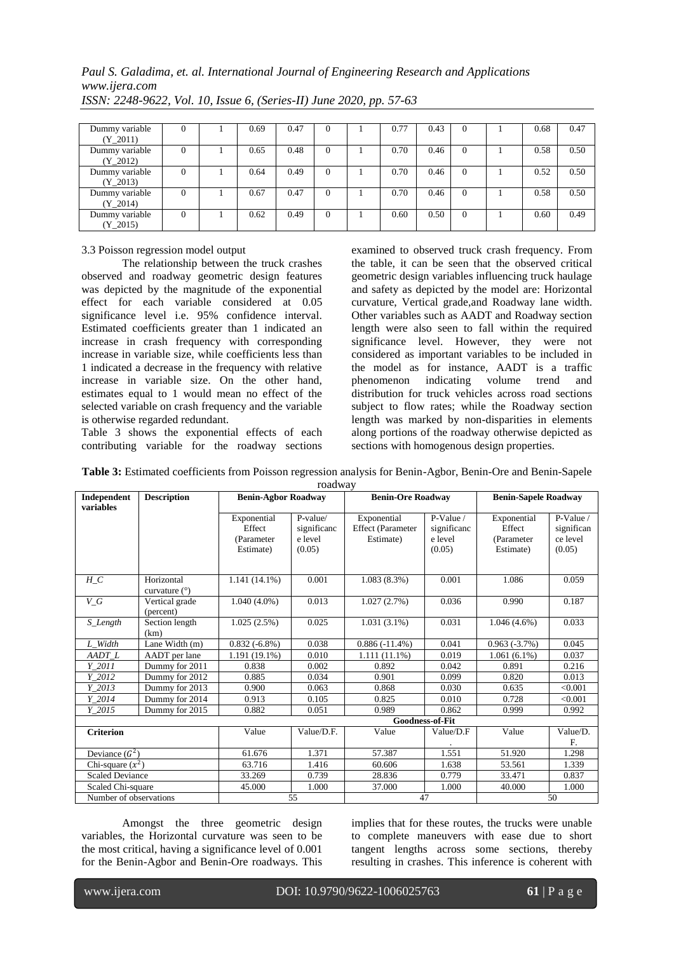# *Paul S. Galadima, et. al. International Journal of Engineering Research and Applications www.ijera.com*

| Dummy variable | v        | 0.69 | 0.47 | 0        | 0.77 | 0.43 | $\mathbf{U}$ | 0.68 | 0.47 |
|----------------|----------|------|------|----------|------|------|--------------|------|------|
| $(Y_2011)$     |          |      |      |          |      |      |              |      |      |
| Dummy variable | $_{0}$   | 0.65 | 0.48 | $\Omega$ | 0.70 | 0.46 | $\Omega$     | 0.58 | 0.50 |
| $(Y_2012)$     |          |      |      |          |      |      |              |      |      |
| Dummy variable | 0        | 0.64 | 0.49 | 0        | 0.70 | 0.46 | $\Omega$     | 0.52 | 0.50 |
| $(Y_2013)$     |          |      |      |          |      |      |              |      |      |
| Dummy variable | 0        | 0.67 | 0.47 | 0        | 0.70 | 0.46 | $\Omega$     | 0.58 | 0.50 |
| (Y 2014)       |          |      |      |          |      |      |              |      |      |
| Dummy variable | $\Omega$ | 0.62 | 0.49 | $\Omega$ | 0.60 | 0.50 | $\theta$     | 0.60 | 0.49 |
| $(Y_2015)$     |          |      |      |          |      |      |              |      |      |

*ISSN: 2248-9622, Vol. 10, Issue 6, (Series-II) June 2020, pp. 57-63*

# 3.3 Poisson regression model output

The relationship between the truck crashes observed and roadway geometric design features was depicted by the magnitude of the exponential effect for each variable considered at 0.05 significance level i.e. 95% confidence interval. Estimated coefficients greater than 1 indicated an increase in crash frequency with corresponding increase in variable size, while coefficients less than 1 indicated a decrease in the frequency with relative increase in variable size. On the other hand, estimates equal to 1 would mean no effect of the selected variable on crash frequency and the variable is otherwise regarded redundant.

Table 3 shows the exponential effects of each contributing variable for the roadway sections

examined to observed truck crash frequency. From the table, it can be seen that the observed critical geometric design variables influencing truck haulage and safety as depicted by the model are: Horizontal curvature, Vertical grade,and Roadway lane width. Other variables such as AADT and Roadway section length were also seen to fall within the required significance level. However, they were not considered as important variables to be included in the model as for instance, AADT is a traffic phenomenon indicating volume trend and distribution for truck vehicles across road sections subject to flow rates; while the Roadway section length was marked by non-disparities in elements along portions of the roadway otherwise depicted as sections with homogenous design properties.

| Table 3: Estimated coefficients from Poisson regression analysis for Benin-Agbor, Benin-Ore and Benin-Sapele |  |
|--------------------------------------------------------------------------------------------------------------|--|
|--------------------------------------------------------------------------------------------------------------|--|

| roadway                  |                               |                                                  |                                              |                                                      |                                               |                                                  |                                               |  |  |  |  |
|--------------------------|-------------------------------|--------------------------------------------------|----------------------------------------------|------------------------------------------------------|-----------------------------------------------|--------------------------------------------------|-----------------------------------------------|--|--|--|--|
| Independent<br>variables | <b>Description</b>            | <b>Benin-Agbor Roadway</b>                       |                                              | <b>Benin-Ore Roadway</b>                             |                                               | <b>Benin-Sapele Roadway</b>                      |                                               |  |  |  |  |
|                          |                               | Exponential<br>Effect<br>(Parameter<br>Estimate) | P-value/<br>significanc<br>e level<br>(0.05) | Exponential<br><b>Effect</b> (Parameter<br>Estimate) | P-Value /<br>significanc<br>e level<br>(0.05) | Exponential<br>Effect<br>(Parameter<br>Estimate) | P-Value /<br>significan<br>ce level<br>(0.05) |  |  |  |  |
| $H_C$                    | Horizontal<br>curvature $(°)$ | $1.141(14.1\%)$                                  | 0.001                                        | $1.083(8.3\%)$                                       | 0.001                                         | 1.086                                            | 0.059                                         |  |  |  |  |
| $V\_G$                   | Vertical grade<br>(percent)   | 0.013<br>$1.040(4.0\%)$                          |                                              | 0.036<br>1.027(2.7%)                                 |                                               | 0.990                                            | 0.187                                         |  |  |  |  |
| S_Length                 | Section length<br>(km)        | 1.025(2.5%)                                      | 0.025                                        | $1.031(3.1\%)$                                       | 0.031                                         | $1.046(4.6\%)$                                   | 0.033                                         |  |  |  |  |
| L_Width                  | Lane Width (m)                | $0.832(-6.8\%)$                                  | 0.038                                        | $0.886(-11.4\%)$                                     | 0.041                                         | $0.963(-3.7%)$                                   | 0.045                                         |  |  |  |  |
| AADT_L                   | AADT per lane                 | 1.191 (19.1%)                                    | 0.010                                        | $1.111(11.1\%)$                                      | 0.019                                         | $1.061(6.1\%)$                                   | 0.037                                         |  |  |  |  |
| $Y_2011$                 | Dummy for 2011                | 0.838                                            | 0.002                                        | 0.892                                                | 0.042                                         | 0.891                                            | 0.216                                         |  |  |  |  |
| Y 2012                   | Dummy for 2012                | 0.885                                            | 0.034                                        | 0.901                                                | 0.099                                         | 0.820                                            | 0.013                                         |  |  |  |  |
| Y 2013                   | Dummy for 2013                | 0.900                                            | 0.063                                        | 0.868                                                | 0.030                                         | 0.635                                            | < 0.001                                       |  |  |  |  |
| Y 2014                   | Dummy for 2014                | 0.913                                            | 0.105                                        | 0.825                                                | 0.010                                         | 0.728                                            | < 0.001                                       |  |  |  |  |
| Y 2015                   | Dummy for 2015                | 0.882                                            | 0.051                                        | 0.989                                                | 0.862                                         | 0.999                                            | 0.992                                         |  |  |  |  |
|                          |                               | <b>Goodness-of-Fit</b>                           |                                              |                                                      |                                               |                                                  |                                               |  |  |  |  |
| <b>Criterion</b>         |                               | Value                                            | Value/D.F.                                   | Value                                                | Value/D.F                                     | Value                                            | Value/D.<br>F.                                |  |  |  |  |
| Deviance $(G^2)$         |                               | 61.676                                           | 1.371                                        | 57.387                                               | 1.551                                         | 51.920                                           | 1.298                                         |  |  |  |  |
| Chi-square $(x^2)$       |                               | 63.716                                           | 1.416                                        | 60.606                                               | 1.638                                         | 53.561                                           | 1.339                                         |  |  |  |  |
| <b>Scaled Deviance</b>   |                               | 33.269                                           | 0.739                                        | 28.836                                               | 0.779                                         | 33.471                                           | 0.837                                         |  |  |  |  |
| Scaled Chi-square        |                               | 45.000                                           | 1.000                                        | 37.000<br>1.000                                      |                                               | 40.000                                           | 1.000                                         |  |  |  |  |
| Number of observations   |                               |                                                  | 55                                           |                                                      | 47                                            | 50                                               |                                               |  |  |  |  |

Amongst the three geometric design variables, the Horizontal curvature was seen to be the most critical, having a significance level of 0.001 for the Benin-Agbor and Benin-Ore roadways. This

implies that for these routes, the trucks were unable to complete maneuvers with ease due to short tangent lengths across some sections, thereby resulting in crashes. This inference is coherent with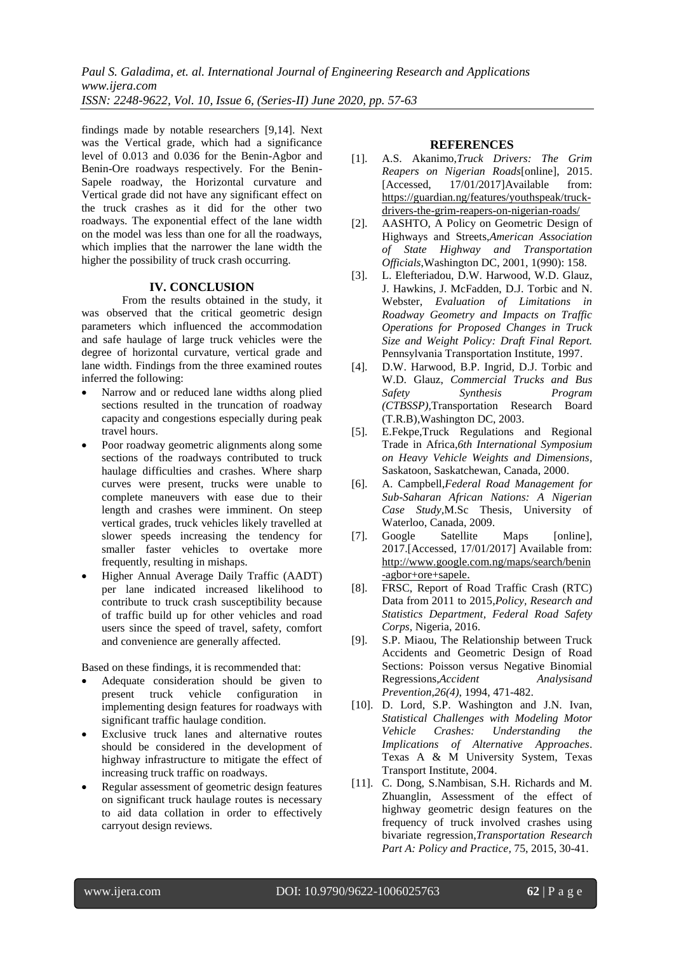findings made by notable researchers [9,14]. Next was the Vertical grade, which had a significance level of 0.013 and 0.036 for the Benin-Agbor and Benin-Ore roadways respectively. For the Benin-Sapele roadway, the Horizontal curvature and Vertical grade did not have any significant effect on the truck crashes as it did for the other two roadways. The exponential effect of the lane width on the model was less than one for all the roadways, which implies that the narrower the lane width the higher the possibility of truck crash occurring.

#### **IV. CONCLUSION**

From the results obtained in the study, it was observed that the critical geometric design parameters which influenced the accommodation and safe haulage of large truck vehicles were the degree of horizontal curvature, vertical grade and lane width. Findings from the three examined routes inferred the following:

- Narrow and or reduced lane widths along plied sections resulted in the truncation of roadway capacity and congestions especially during peak travel hours.
- Poor roadway geometric alignments along some sections of the roadways contributed to truck haulage difficulties and crashes. Where sharp curves were present, trucks were unable to complete maneuvers with ease due to their length and crashes were imminent. On steep vertical grades, truck vehicles likely travelled at slower speeds increasing the tendency for smaller faster vehicles to overtake more frequently, resulting in mishaps.
- Higher Annual Average Daily Traffic (AADT) per lane indicated increased likelihood to contribute to truck crash susceptibility because of traffic build up for other vehicles and road users since the speed of travel, safety, comfort and convenience are generally affected.

Based on these findings, it is recommended that:

- Adequate consideration should be given to present truck vehicle configuration in implementing design features for roadways with significant traffic haulage condition.
- Exclusive truck lanes and alternative routes should be considered in the development of highway infrastructure to mitigate the effect of increasing truck traffic on roadways.
- Regular assessment of geometric design features on significant truck haulage routes is necessary to aid data collation in order to effectively carryout design reviews.

# **REFERENCES**

- [1]. A.S. Akanimo,*Truck Drivers: The Grim Reapers on Nigerian Roads*[online], 2015. [Accessed. 17/01/2017]Available from: [https://guardian.ng/features/youthspeak/truck](https://guardian.ng/features/youthspeak/truck-drivers-the-grim-reapers-on-nigerian-roads/)[drivers-the-grim-reapers-on-nigerian-roads/](https://guardian.ng/features/youthspeak/truck-drivers-the-grim-reapers-on-nigerian-roads/)
- [2]. AASHTO, A Policy on Geometric Design of Highways and Streets,*American Association of State Highway and Transportation Officials*,Washington DC, 2001, 1(990): 158.
- [3]. L. Elefteriadou, D.W. Harwood, W.D. Glauz, J. Hawkins, J. McFadden, D.J. Torbic and N. Webster, *Evaluation of Limitations in Roadway Geometry and Impacts on Traffic Operations for Proposed Changes in Truck Size and Weight Policy: Draft Final Report.* Pennsylvania Transportation Institute, 1997.
- [4]. D.W. Harwood, B.P. Ingrid, D.J. Torbic and W.D. Glauz, *Commercial Trucks and Bus Safety Synthesis (CTBSSP),*Transportation Research Board (T.R.B),Washington DC, 2003.
- [5]. E.Fekpe,Truck Regulations and Regional Trade in Africa,*6th International Symposium on Heavy Vehicle Weights and Dimensions,*  Saskatoon, Saskatchewan, Canada, 2000.
- [6]. A. Campbell,*Federal Road Management for Sub-Saharan African Nations: A Nigerian Case Study,*M.Sc Thesis, University of Waterloo, Canada, 2009.
- [7]. Google Satellite Maps [online], 2017.[Accessed, 17/01/2017] Available from: [http://www.google.com.ng/maps/search/benin](http://www.google.com.ng/maps/search/benin-agbor+ore+sapele) [-agbor+ore+sapele.](http://www.google.com.ng/maps/search/benin-agbor+ore+sapele)
- [8]. FRSC, Report of Road Traffic Crash (RTC) Data from 2011 to 2015,*Policy, Research and Statistics Department, Federal Road Safety Corps,* Nigeria, 2016.
- [9]. S.P. Miaou, The Relationship between Truck Accidents and Geometric Design of Road Sections: Poisson versus Negative Binomial Regressions,*Accident Analysisand Prevention*,*26(4)*, 1994, 471-482.
- [10]. D. Lord, S.P. Washington and J.N. Ivan, *Statistical Challenges with Modeling Motor Vehicle Crashes: Understanding the Implications of Alternative Approaches*. Texas A & M University System, Texas Transport Institute, 2004.
- [11]. C. Dong, S.Nambisan, S.H. Richards and M. Zhuanglin, Assessment of the effect of highway geometric design features on the frequency of truck involved crashes using bivariate regression,*Transportation Research Part A: Policy and Practice,* 75, 2015, 30-41.